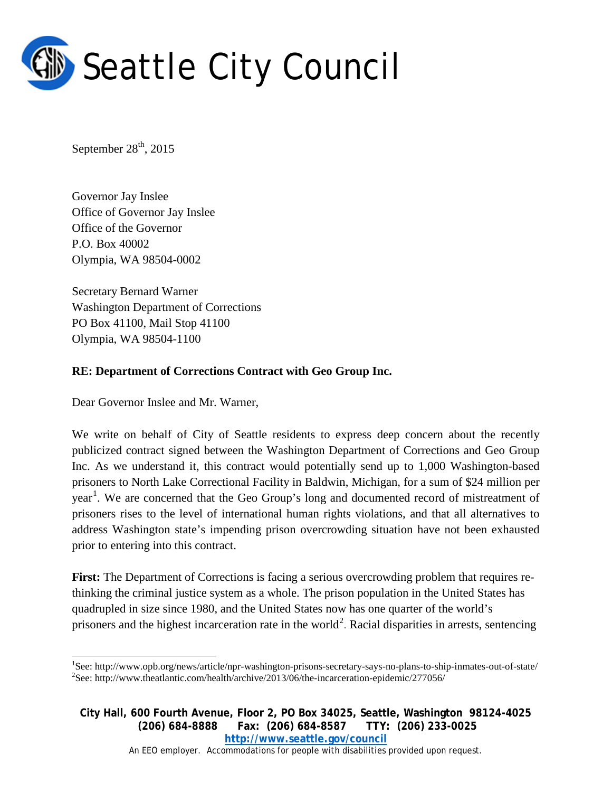

September  $28<sup>th</sup>$ , 2015

Governor Jay Inslee Office of Governor Jay Inslee Office of the Governor P.O. Box 40002 Olympia, WA 98504-0002

Secretary Bernard Warner Washington Department of Corrections PO Box 41100, Mail Stop 41100 Olympia, WA 98504-1100

## **RE: Department of Corrections Contract with Geo Group Inc.**

Dear Governor Inslee and Mr. Warner,

We write on behalf of City of Seattle residents to express deep concern about the recently publicized contract signed between the Washington Department of Corrections and Geo Group Inc. As we understand it, this contract would potentially send up to 1,000 Washington-based prisoners to North Lake Correctional Facility in Baldwin, Michigan, for a sum of \$24 million per year<sup>[1](#page-0-0)</sup>. We are concerned that the Geo Group's long and documented record of mistreatment of prisoners rises to the level of international human rights violations, and that all alternatives to address Washington state's impending prison overcrowding situation have not been exhausted prior to entering into this contract.

**First:** The Department of Corrections is facing a serious overcrowding problem that requires rethinking the criminal justice system as a whole. The prison population in the United States has quadrupled in size since 1980, and the United States now has one quarter of the world's prisoners and the highest incarceration rate in the world<sup>[2](#page-0-1)</sup>. Racial disparities in arrests, sentencing

**City Hall, 600 Fourth Avenue, Floor 2, PO Box 34025, Seattle, Washington 98124-4025 (206) 684-8888 Fax: (206) 684-8587 TTY: (206) 233-0025 <http://www.seattle.gov/council>**

An EEO employer. Accommodations for people with disabilities provided upon request.

<span id="page-0-1"></span><span id="page-0-0"></span> $\frac{1}{1}$ See: http://www.opb.org/news/article/npr-washington-prisons-secretary-says-no-plans-to-ship-inmates-out-of-state/ <sup>2</sup>  $S<sup>2</sup>$ See: http://www.theatlantic.com/health/archive/2013/06/the-incarceration-epidemic/277056/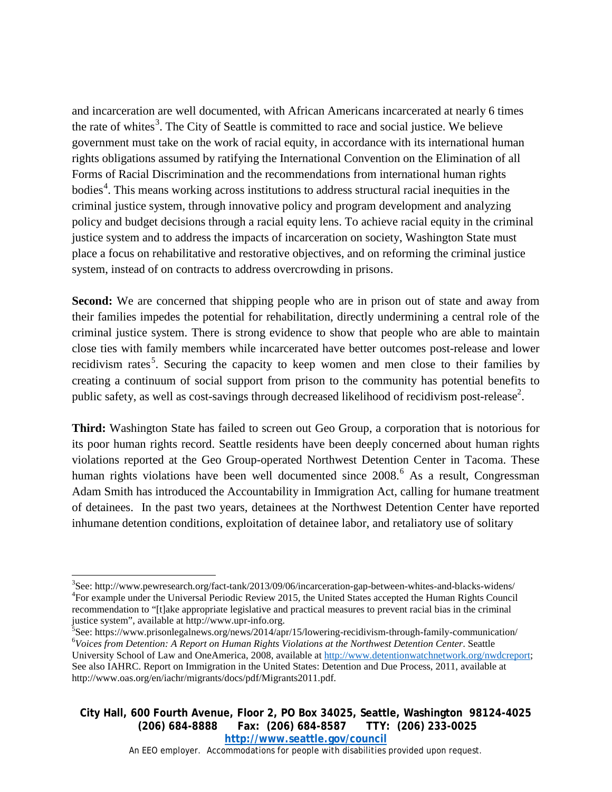and incarceration are well documented, with African Americans incarcerated at nearly 6 times the rate of whites<sup>[3](#page-1-0)</sup>. The City of Seattle is committed to race and social justice. We believe government must take on the work of racial equity, in accordance with its international human rights obligations assumed by ratifying the International Convention on the Elimination of all Forms of Racial Discrimination and the recommendations from international human rights bodies<sup>[4](#page-1-1)</sup>. This means working across institutions to address structural racial inequities in the criminal justice system, through innovative policy and program development and analyzing policy and budget decisions through a racial equity lens. To achieve racial equity in the criminal justice system and to address the impacts of incarceration on society, Washington State must place a focus on rehabilitative and restorative objectives, and on reforming the criminal justice system, instead of on contracts to address overcrowding in prisons.

**Second:** We are concerned that shipping people who are in prison out of state and away from their families impedes the potential for rehabilitation, directly undermining a central role of the criminal justice system. There is strong evidence to show that people who are able to maintain close ties with family members while incarcerated have better outcomes post-release and lower recidivism rates<sup>[5](#page-1-2)</sup>. Securing the capacity to keep women and men close to their families by creating a continuum of social support from prison to the community has potential benefits to public safety, as well as cost-savings through decreased likelihood of recidivism post-release<sup>2</sup>.

**Third:** Washington State has failed to screen out Geo Group, a corporation that is notorious for its poor human rights record. Seattle residents have been deeply concerned about human rights violations reported at the Geo Group-operated Northwest Detention Center in Tacoma. These human rights violations have been well documented since 2008.<sup>[6](#page-1-3)</sup> As a result, Congressman Adam Smith has introduced the Accountability in Immigration Act, calling for humane treatment of detainees. In the past two years, detainees at the Northwest Detention Center have reported inhumane detention conditions, exploitation of detainee labor, and retaliatory use of solitary

**City Hall, 600 Fourth Avenue, Floor 2, PO Box 34025, Seattle, Washington 98124-4025 (206) 684-8888 Fax: (206) 684-8587 TTY: (206) 233-0025 <http://www.seattle.gov/council>**

An EEO employer. Accommodations for people with disabilities provided upon request.

<span id="page-1-1"></span><span id="page-1-0"></span>3 See: http://www.pewresearch.org/fact-tank/2013/09/06/incarceration-gap-between-whites-and-blacks-widens/ <sup>4</sup> For example under the Universal Periodic Review 2015, the United States accepted the Human Rights Council recommendation to "[t]ake appropriate legislative and practical measures to prevent racial bias in the criminal justice system", available at http://www.upr-info.org. <sup>5</sup>

<span id="page-1-3"></span><span id="page-1-2"></span> ${}^{5}$ See: https://www.prisonlegalnews.org/news/2014/apr/15/lowering-recidivism-through-family-communication/ *Voices from Detention: A Report on Human Rights Violations at the Northwest Detention Center*. Seattle University School of Law and OneAmerica, 2008, available at [http://www.detentionwatchnetwork.org/nwdcreport;](http://www.detentionwatchnetwork.org/nwdcreport) See also IAHRC. Report on Immigration in the United States: Detention and Due Process, 2011, available at http://www.oas.org/en/iachr/migrants/docs/pdf/Migrants2011.pdf.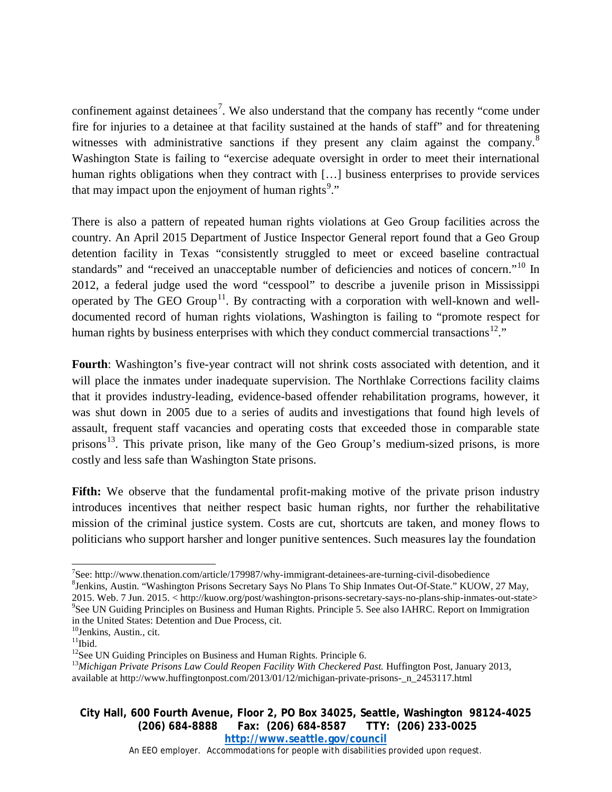confinement against detainees<sup>[7](#page-2-0)</sup>. We also understand that the company has recently "come under fire for injuries to a detainee at that facility sustained at the hands of staff" and for threatening witnesses with administrative sanctions if they present any claim against the company.<sup>[8](#page-2-1)</sup> Washington State is failing to "exercise adequate oversight in order to meet their international human rights obligations when they contract with [...] business enterprises to provide services that may impact upon the enjoyment of human rights<sup>[9](#page-2-2)</sup>."

There is also a pattern of repeated human rights violations at Geo Group facilities across the country. An April 2015 Department of Justice Inspector General report found that a Geo Group detention facility in Texas "consistently struggled to meet or exceed baseline contractual standards" and "received an unacceptable number of deficiencies and notices of concern."<sup>[10](#page-2-3)</sup> In 2012, a federal judge used the word "cesspool" to describe a juvenile prison in Mississippi operated by The GEO Group<sup>[11](#page-2-4)</sup>. By contracting with a corporation with well-known and welldocumented record of human rights violations, Washington is failing to "promote respect for human rights by business enterprises with which they conduct commercial transactions<sup>12</sup>."

**Fourth**: Washington's five-year contract will not shrink costs associated with detention, and it will place the inmates under inadequate supervision. The Northlake Corrections facility claims that it provides industry-leading, evidence-based offender rehabilitation programs, however, it was shut down in 2005 due to a [series](http://audgen.michigan.gov/finalpdfs/04_05/r4728004.pdf) of audits and investigations that found high levels of assault, frequent staff vacancies and operating costs that exceeded those in comparable state prisons<sup>[13](#page-2-6)</sup>. This private prison, like many of the Geo Group's medium-sized prisons, is more costly and less safe than Washington State prisons.

**Fifth:** We observe that the fundamental profit-making motive of the private prison industry introduces incentives that neither respect basic human rights, nor further the rehabilitative mission of the criminal justice system. Costs are cut, shortcuts are taken, and money flows to politicians who support harsher and longer punitive sentences. Such measures lay the foundation

<span id="page-2-2"></span>2015. Web. 7 Jun. 2015. < http://kuow.org/post/washington-prisons-secretary-says-no-plans-ship-inmates-out-state> <sup>9</sup> <sup>9</sup>See UN Guiding Principles on Business and Human Rights. Principle 5. See also IAHRC. Report on Immigration in the United States: Detention and Due Process, cit.

## **City Hall, 600 Fourth Avenue, Floor 2, PO Box 34025, Seattle, Washington 98124-4025 (206) 684-8888 Fax: (206) 684-8587 TTY: (206) 233-0025 <http://www.seattle.gov/council>**

An EEO employer. Accommodations for people with disabilities provided upon request.

<sup>-&</sup>lt;br>7 See: http://www.thenation.com/article/179987/why-immigrant-detainees-are-turning-civil-disobedience <sup>8</sup>

<span id="page-2-1"></span><span id="page-2-0"></span><sup>&</sup>lt;sup>8</sup>Jenkins, Austin. "Washington Prisons Secretary Says No Plans To Ship Inmates Out-Of-State." KUOW, 27 May,

 $10$ Jenkins, Austin., cit.

<span id="page-2-4"></span><span id="page-2-3"></span> $\rm ^{11}Ibid.$ 

<span id="page-2-5"></span><sup>&</sup>lt;sup>12</sup>See UN Guiding Principles on Business and Human Rights. Principle 6.

<span id="page-2-6"></span><sup>&</sup>lt;sup>13</sup>Michigan Private Prisons Law Could Reopen Facility With Checkered Past. Huffington Post, January 2013, available at http://www.huffingtonpost.com/2013/01/12/michigan-private-prisons-\_n\_2453117.html